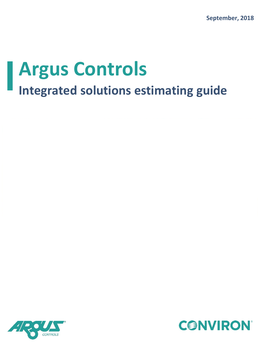

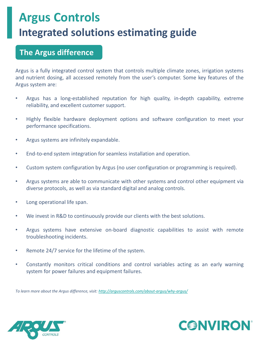### **The Argus difference**

Argus is a fully integrated control system that controls multiple climate zones, irrigation systems and nutrient dosing, all accessed remotely from the user's computer. Some key features of the Argus system are:

- Argus has a long-established reputation for high quality, in-depth capability, extreme reliability, and excellent customer support.
- Highly flexible hardware deployment options and software configuration to meet your performance specifications.
- Argus systems are infinitely expandable.
- End-to-end system integration for seamless installation and operation.
- Custom system configuration by Argus (no user configuration or programming is required).
- Argus systems are able to communicate with other systems and control other equipment via diverse protocols, as well as via standard digital and analog controls.
- Long operational life span.
- We invest in R&D to continuously provide our clients with the best solutions.
- Argus systems have extensive on-board diagnostic capabilities to assist with remote troubleshooting incidents.
- Remote 24/7 service for the lifetime of the system.
- Constantly monitors critical conditions and control variables acting as an early warning system for power failures and equipment failures.

*To learn more about the Argus difference, visit: <http://arguscontrols.com/about-argus/why-argus/>*



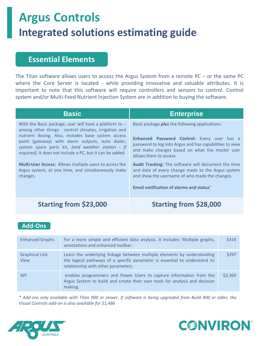### **Essential Elements**

The Titan software allows users to access the Argus System from a remote  $PC$  – or the same PC where the Core Server is located - while providing innovative and valuable attributes. It is important to note that this software will require controllers and sensors to control. Control system and/or Multi-Feed Nutrient Injection System are in addition to buying the software.

| <b>Basic</b>                                                                                                                                                                                                                                                                                                                                                                                                                                                                    | <b>Enterprise</b>                                                                                                                                                                                                                                                                                                                                                                                                                                     |
|---------------------------------------------------------------------------------------------------------------------------------------------------------------------------------------------------------------------------------------------------------------------------------------------------------------------------------------------------------------------------------------------------------------------------------------------------------------------------------|-------------------------------------------------------------------------------------------------------------------------------------------------------------------------------------------------------------------------------------------------------------------------------------------------------------------------------------------------------------------------------------------------------------------------------------------------------|
| With the Basic package, user will have a platform to $-$<br>among other things- control climates, irrigation and<br>nutrient dosing. Also, includes base system access<br>point (gateway) with alarm outputs, auto dialer,<br>system spare parts kit, (and weather station - if<br>required). It does not include a PC, but it can be added.<br><b>Multi-User Access:</b> Allows multiple users to access the<br>Argus system, at one time, and simultaneously make<br>changes. | Basic package <i>plus</i> the following applications:<br>Enhanced Password Control: Every user has a<br>password to log into Argus and has capabilities to view<br>and make changes based on what the master user<br>allows them to access.<br>Audit Tracking: The software will document the time<br>and date of every change made to the Argus system<br>and show the username of who made the changes.<br>Email notification of alarms and status' |
| Starting from \$23,000                                                                                                                                                                                                                                                                                                                                                                                                                                                          | <b>Starting from \$28,000</b>                                                                                                                                                                                                                                                                                                                                                                                                                         |

#### **Add-Ons**

| <b>Enhanced Graphs</b>        | For a more simple and efficient data analysis. It includes: Multiple graphs,<br>annotations and enhanced toolbar.                                                                             | \$416   |
|-------------------------------|-----------------------------------------------------------------------------------------------------------------------------------------------------------------------------------------------|---------|
| <b>Graphical Link</b><br>View | Learn the underlying linkage between multiple elements by understanding<br>the logical pathways of a specific parameter is essential to understand its<br>relationship with other parameters. | \$297   |
| <b>API</b>                    | enables programmers and Power Users to capture information from the<br>Argus System to build and create their own tools for analysis and decision<br>making.                                  | \$2.369 |

\* Add-ons only available with Titan 900 or newer. If software is being upgraded from Build 800 or older, the *Visual Controls add-on is also available for \$1,486*



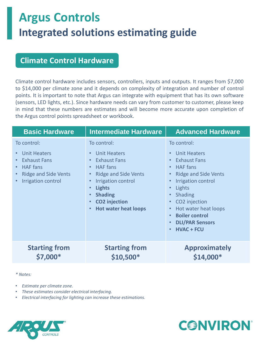### **Climate Control Hardware**

Climate control hardware includes sensors, controllers, inputs and outputs. It ranges from \$7,000 to \$14,000 per climate zone and it depends on complexity of integration and number of control points. It is important to note that Argus can integrate with equipment that has its own software (sensors, LED lights, etc.). Since hardware needs can vary from customer to customer, please keep in mind that these numbers are estimates and will become more accurate upon completion of the Argus control points spreadsheet or workbook.

| <b>Basic Hardware</b>                                                                                                                                | <b>Intermediate Hardware</b>                                                                                                                                                                                                                                                          | <b>Advanced Hardware</b>                                                                                                                                                                                                                                                                                                                 |
|------------------------------------------------------------------------------------------------------------------------------------------------------|---------------------------------------------------------------------------------------------------------------------------------------------------------------------------------------------------------------------------------------------------------------------------------------|------------------------------------------------------------------------------------------------------------------------------------------------------------------------------------------------------------------------------------------------------------------------------------------------------------------------------------------|
| To control:<br>Unit Heaters<br><b>Exhaust Fans</b><br><b>HAF</b> fans<br>$\bullet$<br><b>Ridge and Side Vents</b><br>$\bullet$<br>Irrigation control | To control:<br>Unit Heaters<br>$\bullet$<br><b>Exhaust Fans</b><br>$\bullet$<br><b>HAF</b> fans<br>$\bullet$<br><b>Ridge and Side Vents</b><br>Irrigation control<br><b>Lights</b><br>$\bullet$<br><b>Shading</b><br><b>CO2</b> injection<br><b>Hot water heat loops</b><br>$\bullet$ | To control:<br>Unit Heaters<br><b>Exhaust Fans</b><br><b>HAF</b> fans<br>$\bullet$<br><b>Ridge and Side Vents</b><br>Irrigation control<br>Lights<br>$\bullet$<br><b>Shading</b><br>$\bullet$<br>CO2 injection<br>$\bullet$<br>Hot water heat loops<br>$\bullet$<br><b>Boiler control</b><br><b>DLI/PAR Sensors</b><br><b>HVAC + FCU</b> |
| <b>Starting from</b><br>\$7,000*                                                                                                                     | <b>Starting from</b><br>$$10,500*$                                                                                                                                                                                                                                                    | <b>Approximately</b><br>\$14,000*                                                                                                                                                                                                                                                                                                        |

*\* Notes:*

- *Estimate per climate zone.*
- *These estimates consider electrical interfacing.*
- *Electrical interfacing for lighting can increase these estimations.*



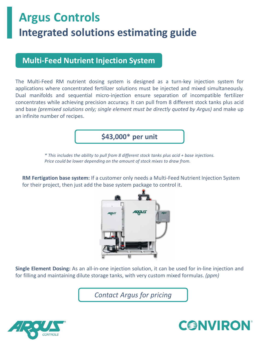### **Multi-Feed Nutrient Injection System**

The Multi-Feed RM nutrient dosing system is designed as a turn-key injection system for applications where concentrated fertilizer solutions must be injected and mixed simultaneously. Dual manifolds and sequential micro-injection ensure separation of incompatible fertilizer concentrates while achieving precision accuracy. It can pull from 8 different stock tanks plus acid and base *(premixed solutions only; single element must be directly quoted by Argus)* and make up an infinite number of recipes.

**\$43,000\* per unit**

*\* This includes the ability to pull from 8 different stock tanks plus acid + base injections. Price could be lower depending on the amount of stock mixes to draw from.*

**RM Fertigation base system:** If a customer only needs a Multi-Feed Nutrient Injection System for their project, then just add the base system package to control it.



**Single Element Dosing:** As an all-in-one injection solution, it can be used for in-line injection and for filling and maintaining dilute storage tanks, with very custom mixed formulas. *(ppm)*

*Contact Argus for pricing*



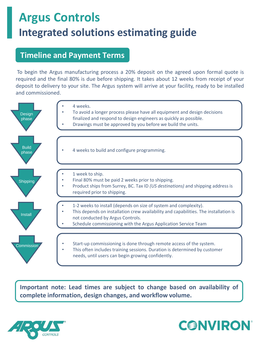### **Timeline and Payment Terms**

To begin the Argus manufacturing process a 20% deposit on the agreed upon formal quote is required and the final 80% is due before shipping. It takes about 12 weeks from receipt of your deposit to delivery to your site. The Argus system will arrive at your facility, ready to be installed and commissioned.



**Important note: Lead times are subject to change based on availability of complete information, design changes, and workflow volume.**